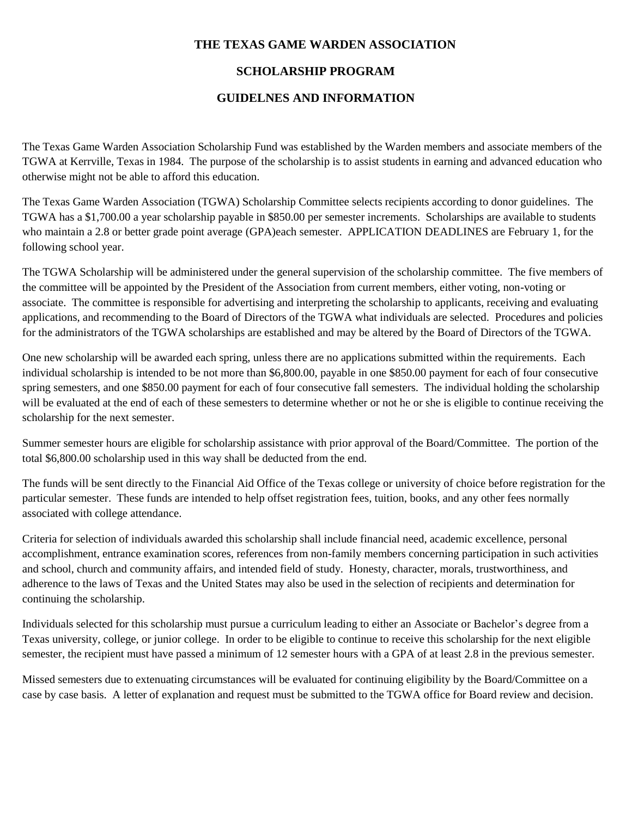### **THE TEXAS GAME WARDEN ASSOCIATION**

## **SCHOLARSHIP PROGRAM**

## **GUIDELNES AND INFORMATION**

The Texas Game Warden Association Scholarship Fund was established by the Warden members and associate members of the TGWA at Kerrville, Texas in 1984. The purpose of the scholarship is to assist students in earning and advanced education who otherwise might not be able to afford this education.

The Texas Game Warden Association (TGWA) Scholarship Committee selects recipients according to donor guidelines. The TGWA has a \$1,700.00 a year scholarship payable in \$850.00 per semester increments. Scholarships are available to students who maintain a 2.8 or better grade point average (GPA)each semester. APPLICATION DEADLINES are February 1, for the following school year.

The TGWA Scholarship will be administered under the general supervision of the scholarship committee. The five members of the committee will be appointed by the President of the Association from current members, either voting, non-voting or associate. The committee is responsible for advertising and interpreting the scholarship to applicants, receiving and evaluating applications, and recommending to the Board of Directors of the TGWA what individuals are selected. Procedures and policies for the administrators of the TGWA scholarships are established and may be altered by the Board of Directors of the TGWA.

One new scholarship will be awarded each spring, unless there are no applications submitted within the requirements. Each individual scholarship is intended to be not more than \$6,800.00, payable in one \$850.00 payment for each of four consecutive spring semesters, and one \$850.00 payment for each of four consecutive fall semesters. The individual holding the scholarship will be evaluated at the end of each of these semesters to determine whether or not he or she is eligible to continue receiving the scholarship for the next semester.

Summer semester hours are eligible for scholarship assistance with prior approval of the Board/Committee. The portion of the total \$6,800.00 scholarship used in this way shall be deducted from the end.

The funds will be sent directly to the Financial Aid Office of the Texas college or university of choice before registration for the particular semester. These funds are intended to help offset registration fees, tuition, books, and any other fees normally associated with college attendance.

Criteria for selection of individuals awarded this scholarship shall include financial need, academic excellence, personal accomplishment, entrance examination scores, references from non-family members concerning participation in such activities and school, church and community affairs, and intended field of study. Honesty, character, morals, trustworthiness, and adherence to the laws of Texas and the United States may also be used in the selection of recipients and determination for continuing the scholarship.

Individuals selected for this scholarship must pursue a curriculum leading to either an Associate or Bachelor's degree from a Texas university, college, or junior college. In order to be eligible to continue to receive this scholarship for the next eligible semester, the recipient must have passed a minimum of 12 semester hours with a GPA of at least 2.8 in the previous semester.

Missed semesters due to extenuating circumstances will be evaluated for continuing eligibility by the Board/Committee on a case by case basis. A letter of explanation and request must be submitted to the TGWA office for Board review and decision.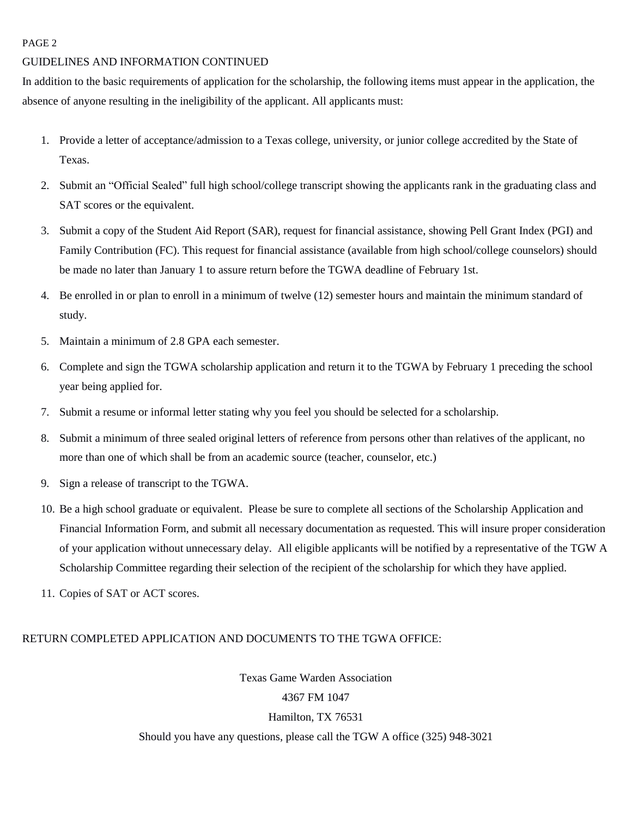#### PAGE 2

#### GUIDELINES AND INFORMATION CONTINUED

In addition to the basic requirements of application for the scholarship, the following items must appear in the application, the absence of anyone resulting in the ineligibility of the applicant. All applicants must:

- 1. Provide a letter of acceptance/admission to a Texas college, university, or junior college accredited by the State of Texas.
- 2. Submit an "Official Sealed" full high school/college transcript showing the applicants rank in the graduating class and SAT scores or the equivalent.
- 3. Submit a copy of the Student Aid Report (SAR), request for financial assistance, showing Pell Grant Index (PGI) and Family Contribution (FC). This request for financial assistance (available from high school/college counselors) should be made no later than January 1 to assure return before the TGWA deadline of February 1st.
- 4. Be enrolled in or plan to enroll in a minimum of twelve (12) semester hours and maintain the minimum standard of study.
- 5. Maintain a minimum of 2.8 GPA each semester.
- 6. Complete and sign the TGWA scholarship application and return it to the TGWA by February 1 preceding the school year being applied for.
- 7. Submit a resume or informal letter stating why you feel you should be selected for a scholarship.
- 8. Submit a minimum of three sealed original letters of reference from persons other than relatives of the applicant, no more than one of which shall be from an academic source (teacher, counselor, etc.)
- 9. Sign a release of transcript to the TGWA.
- 10. Be a high school graduate or equivalent. Please be sure to complete all sections of the Scholarship Application and Financial Information Form, and submit all necessary documentation as requested. This will insure proper consideration of your application without unnecessary delay. All eligible applicants will be notified by a representative of the TGW A Scholarship Committee regarding their selection of the recipient of the scholarship for which they have applied.
- 11. Copies of SAT or ACT scores.

#### RETURN COMPLETED APPLICATION AND DOCUMENTS TO THE TGWA OFFICE:

Texas Game Warden Association 4367 FM 1047 Hamilton, TX 76531 Should you have any questions, please call the TGW A office (325) 948-3021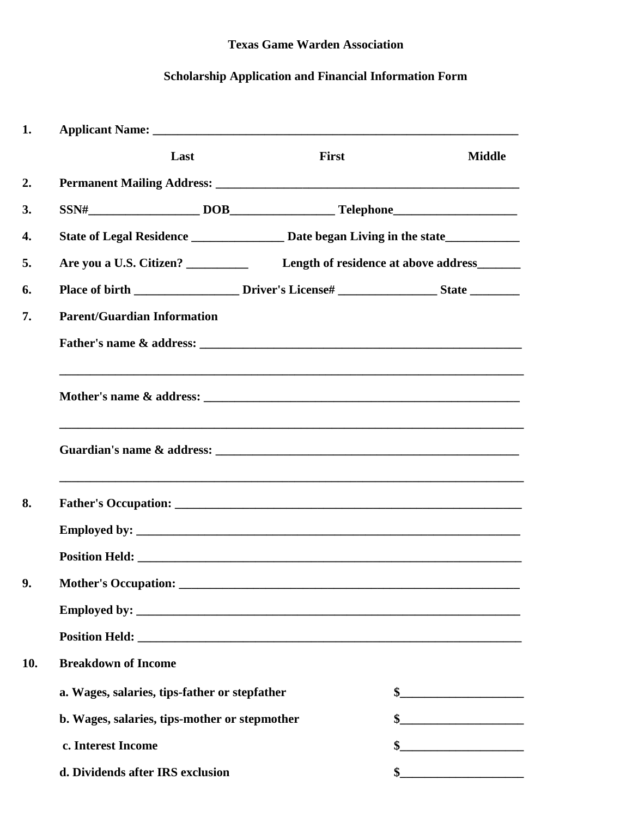## **Texas Game Warden Association**

# **Scholarship Application and Financial Information Form**

| 1.  | Applicant Name: Name and Applicant Name and Applicant Name and Applicant Name and Applicant Applicant Applicant Applicant Applicant Applicant Applicant Applicant Applicant Applicant Applicant Applicant Applicant Applicant                                                             |                                                                                  |                                                                                                                                                                                                                                                                                                                                                                                                         |
|-----|-------------------------------------------------------------------------------------------------------------------------------------------------------------------------------------------------------------------------------------------------------------------------------------------|----------------------------------------------------------------------------------|---------------------------------------------------------------------------------------------------------------------------------------------------------------------------------------------------------------------------------------------------------------------------------------------------------------------------------------------------------------------------------------------------------|
|     | Last                                                                                                                                                                                                                                                                                      | <b>First</b>                                                                     | <b>Middle</b>                                                                                                                                                                                                                                                                                                                                                                                           |
| 2.  |                                                                                                                                                                                                                                                                                           |                                                                                  |                                                                                                                                                                                                                                                                                                                                                                                                         |
| 3.  |                                                                                                                                                                                                                                                                                           |                                                                                  |                                                                                                                                                                                                                                                                                                                                                                                                         |
| 4.  |                                                                                                                                                                                                                                                                                           | State of Legal Residence ________________ Date began Living in the state         |                                                                                                                                                                                                                                                                                                                                                                                                         |
| 5.  |                                                                                                                                                                                                                                                                                           | Are you a U.S. Citizen? Length of residence at above address______               |                                                                                                                                                                                                                                                                                                                                                                                                         |
| 6.  | Place of birth ______________________Driver's License# _______________________State ________________                                                                                                                                                                                      |                                                                                  |                                                                                                                                                                                                                                                                                                                                                                                                         |
| 7.  | <b>Parent/Guardian Information</b>                                                                                                                                                                                                                                                        |                                                                                  |                                                                                                                                                                                                                                                                                                                                                                                                         |
|     |                                                                                                                                                                                                                                                                                           |                                                                                  |                                                                                                                                                                                                                                                                                                                                                                                                         |
|     |                                                                                                                                                                                                                                                                                           | ,我们也不能在这里的人,我们也不能在这里的人,我们也不能在这里的人,我们也不能在这里的人,我们也不能在这里的人,我们也不能在这里的人,我们也不能在这里的人,我们 |                                                                                                                                                                                                                                                                                                                                                                                                         |
|     |                                                                                                                                                                                                                                                                                           |                                                                                  |                                                                                                                                                                                                                                                                                                                                                                                                         |
| 8.  |                                                                                                                                                                                                                                                                                           |                                                                                  |                                                                                                                                                                                                                                                                                                                                                                                                         |
|     | Employed by: $\sqrt{2\pi}$ by: $\sqrt{2\pi}$ and $\sqrt{2\pi}$ and $\sqrt{2\pi}$ and $\sqrt{2\pi}$ and $\sqrt{2\pi}$ and $\sqrt{2\pi}$ and $\sqrt{2\pi}$ and $\sqrt{2\pi}$ and $\sqrt{2\pi}$ and $\sqrt{2\pi}$ and $\sqrt{2\pi}$ and $\sqrt{2\pi}$ and $\sqrt{2\pi}$ and $\sqrt{2\pi}$ an |                                                                                  |                                                                                                                                                                                                                                                                                                                                                                                                         |
|     | Position Held: <u>New York: New York: New York: New York: New York: New York: New York: New York: New York: New York: New York: New York: New York: New York: New York: New York: New York: New York: New York: New York: New Yo</u>                                                      |                                                                                  |                                                                                                                                                                                                                                                                                                                                                                                                         |
| 9.  | Mother's Occupation: ________                                                                                                                                                                                                                                                             |                                                                                  |                                                                                                                                                                                                                                                                                                                                                                                                         |
|     |                                                                                                                                                                                                                                                                                           |                                                                                  |                                                                                                                                                                                                                                                                                                                                                                                                         |
|     |                                                                                                                                                                                                                                                                                           |                                                                                  |                                                                                                                                                                                                                                                                                                                                                                                                         |
| 10. | <b>Breakdown of Income</b>                                                                                                                                                                                                                                                                |                                                                                  |                                                                                                                                                                                                                                                                                                                                                                                                         |
|     | a. Wages, salaries, tips-father or stepfather                                                                                                                                                                                                                                             |                                                                                  | $\sim$                                                                                                                                                                                                                                                                                                                                                                                                  |
|     | b. Wages, salaries, tips-mother or stepmother                                                                                                                                                                                                                                             |                                                                                  |                                                                                                                                                                                                                                                                                                                                                                                                         |
|     | c. Interest Income                                                                                                                                                                                                                                                                        |                                                                                  |                                                                                                                                                                                                                                                                                                                                                                                                         |
|     | d. Dividends after IRS exclusion                                                                                                                                                                                                                                                          |                                                                                  | $\frac{\frac{1}{2} + \frac{1}{2} + \frac{1}{2} + \frac{1}{2} + \frac{1}{2} + \frac{1}{2} + \frac{1}{2} + \frac{1}{2} + \frac{1}{2} + \frac{1}{2} + \frac{1}{2} + \frac{1}{2} + \frac{1}{2} + \frac{1}{2} + \frac{1}{2} + \frac{1}{2} + \frac{1}{2} + \frac{1}{2} + \frac{1}{2} + \frac{1}{2} + \frac{1}{2} + \frac{1}{2} + \frac{1}{2} + \frac{1}{2} + \frac{1}{2} + \frac{1}{2} + \frac{1}{2} + \frac$ |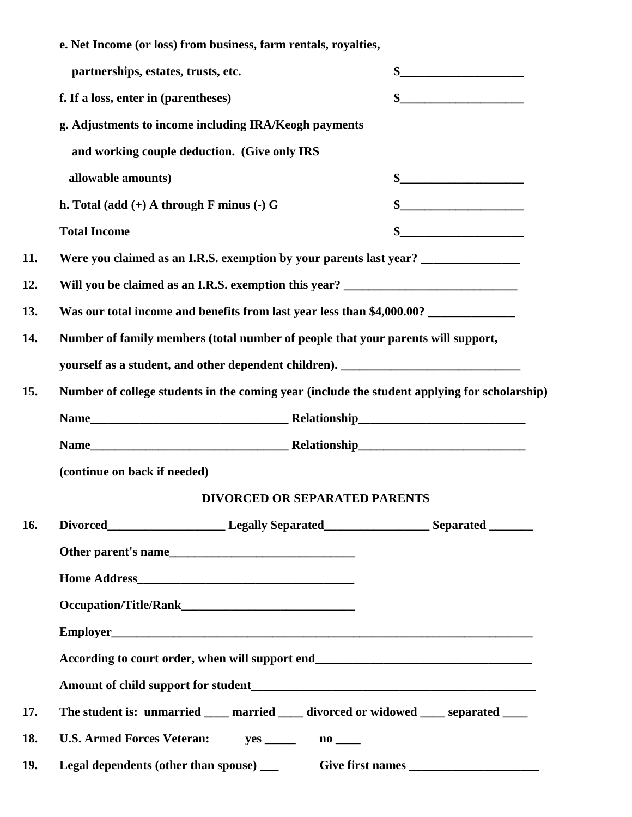|     | e. Net Income (or loss) from business, farm rentals, royalties,                                     |                                                       |  |  |  |
|-----|-----------------------------------------------------------------------------------------------------|-------------------------------------------------------|--|--|--|
|     | partnerships, estates, trusts, etc.                                                                 | $\mathbf{\$}$                                         |  |  |  |
|     | f. If a loss, enter in (parentheses)                                                                |                                                       |  |  |  |
|     |                                                                                                     | g. Adjustments to income including IRA/Keogh payments |  |  |  |
|     | and working couple deduction. (Give only IRS                                                        |                                                       |  |  |  |
|     | allowable amounts)                                                                                  | $\frac{\text{S}}{\text{S}}$                           |  |  |  |
|     | h. Total (add $(+)$ A through F minus $(-)$ G                                                       | $\frac{1}{2}$                                         |  |  |  |
|     | <b>Total Income</b>                                                                                 | $\frac{1}{2}$                                         |  |  |  |
| 11. | Were you claimed as an I.R.S. exemption by your parents last year? _____________                    |                                                       |  |  |  |
| 12. | Will you be claimed as an I.R.S. exemption this year? __________________________                    |                                                       |  |  |  |
| 13. | Was our total income and benefits from last year less than \$4,000.00? ___________                  |                                                       |  |  |  |
| 14. | Number of family members (total number of people that your parents will support,                    |                                                       |  |  |  |
|     | yourself as a student, and other dependent children). ___________________________                   |                                                       |  |  |  |
| 15. | Number of college students in the coming year (include the student applying for scholarship)        |                                                       |  |  |  |
|     |                                                                                                     |                                                       |  |  |  |
|     |                                                                                                     |                                                       |  |  |  |
|     | (continue on back if needed)                                                                        |                                                       |  |  |  |
|     | <b>DIVORCED OR SEPARATED PARENTS</b>                                                                |                                                       |  |  |  |
| 16. | Divorced______________________________Legally Separated_______________________Separated ___________ |                                                       |  |  |  |
|     |                                                                                                     |                                                       |  |  |  |
|     |                                                                                                     |                                                       |  |  |  |
|     |                                                                                                     |                                                       |  |  |  |
|     |                                                                                                     |                                                       |  |  |  |
|     |                                                                                                     |                                                       |  |  |  |
|     |                                                                                                     |                                                       |  |  |  |
| 17. | The student is: unmarried ____ married ____ divorced or widowed ____ separated ____                 |                                                       |  |  |  |
| 18. | U.S. Armed Forces Veteran: yes ______ no ____                                                       |                                                       |  |  |  |
| 19. |                                                                                                     |                                                       |  |  |  |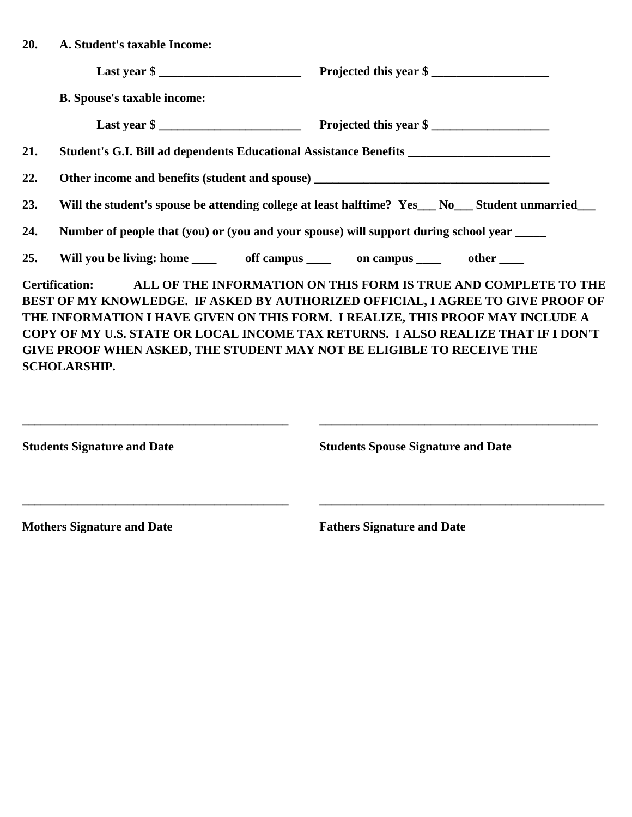| 20. | A. Student's taxable Income:                                                                   |                                                                                                                                                                                                                                                                                                                                          |  |
|-----|------------------------------------------------------------------------------------------------|------------------------------------------------------------------------------------------------------------------------------------------------------------------------------------------------------------------------------------------------------------------------------------------------------------------------------------------|--|
|     |                                                                                                | Last year \$                                                                                                                                                                                                                                                                                                                             |  |
|     | <b>B.</b> Spouse's taxable income:                                                             |                                                                                                                                                                                                                                                                                                                                          |  |
|     |                                                                                                | Last year \$                                                                                                                                                                                                                                                                                                                             |  |
| 21. | Student's G.I. Bill ad dependents Educational Assistance Benefits ______________________       |                                                                                                                                                                                                                                                                                                                                          |  |
| 22. |                                                                                                |                                                                                                                                                                                                                                                                                                                                          |  |
| 23. | Will the student's spouse be attending college at least halftime? Yes__No__Student unmarried__ |                                                                                                                                                                                                                                                                                                                                          |  |
| 24. | Number of people that (you) or (you and your spouse) will support during school year _____     |                                                                                                                                                                                                                                                                                                                                          |  |
| 25. | Will you be living: home ______ off campus _____ on campus _____ other ____                    |                                                                                                                                                                                                                                                                                                                                          |  |
|     | GIVE PROOF WHEN ASKED, THE STUDENT MAY NOT BE ELIGIBLE TO RECEIVE THE<br><b>SCHOLARSHIP.</b>   | Certification: ALL OF THE INFORMATION ON THIS FORM IS TRUE AND COMPLETE TO THE<br>BEST OF MY KNOWLEDGE. IF ASKED BY AUTHORIZED OFFICIAL, I AGREE TO GIVE PROOF OF<br>THE INFORMATION I HAVE GIVEN ON THIS FORM. I REALIZE, THIS PROOF MAY INCLUDE A<br>COPY OF MY U.S. STATE OR LOCAL INCOME TAX RETURNS. I ALSO REALIZE THAT IF I DON'T |  |

| <b>Students Signature and Date</b> | <b>Students Spouse Signature and Date</b> |  |
|------------------------------------|-------------------------------------------|--|
| <b>Mothers Signature and Date</b>  | <b>Fathers Signature and Date</b>         |  |